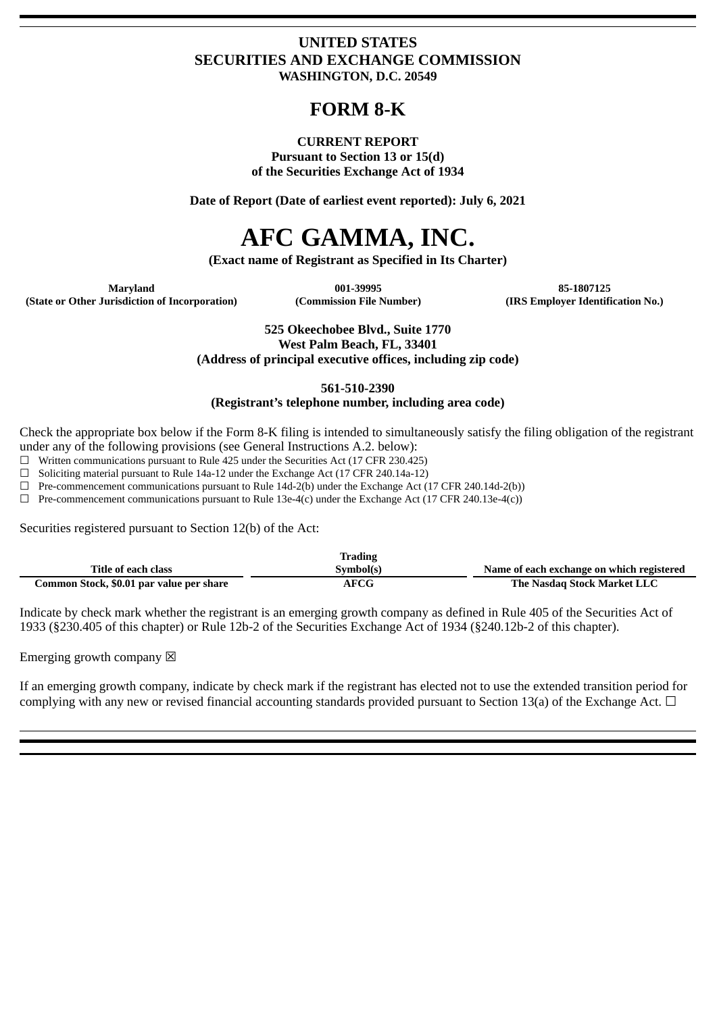### **UNITED STATES SECURITIES AND EXCHANGE COMMISSION WASHINGTON, D.C. 20549**

## **FORM 8-K**

#### **CURRENT REPORT**

**Pursuant to Section 13 or 15(d) of the Securities Exchange Act of 1934**

**Date of Report (Date of earliest event reported): July 6, 2021**

# **AFC GAMMA, INC.**

**(Exact name of Registrant as Specified in Its Charter)**

**(State or Other Jurisdiction of Incorporation) (Commission File Number) (IRS Employer Identification No.)**

**Maryland 001-39995 85-1807125**

**525 Okeechobee Blvd., Suite 1770 West Palm Beach, FL, 33401 (Address of principal executive offices, including zip code)**

**561-510-2390**

#### **(Registrant's telephone number, including area code)**

Check the appropriate box below if the Form 8-K filing is intended to simultaneously satisfy the filing obligation of the registrant under any of the following provisions (see General Instructions A.2. below):

☐ Written communications pursuant to Rule 425 under the Securities Act (17 CFR 230.425)

 $\Box$  Soliciting material pursuant to Rule 14a-12 under the Exchange Act (17 CFR 240.14a-12)

 $\Box$  Pre-commencement communications pursuant to Rule 14d-2(b) under the Exchange Act (17 CFR 240.14d-2(b))

 $\Box$  Pre-commencement communications pursuant to Rule 13e-4(c) under the Exchange Act (17 CFR 240.13e-4(c))

Securities registered pursuant to Section 12(b) of the Act:

|                                          | <b>Trading</b> |                                           |
|------------------------------------------|----------------|-------------------------------------------|
| Title of each class                      | Symbol(s)      | Name of each exchange on which registered |
| Common Stock, \$0.01 par value per share | AFCG           | The Nasdag Stock Market LLC               |

Indicate by check mark whether the registrant is an emerging growth company as defined in Rule 405 of the Securities Act of 1933 (§230.405 of this chapter) or Rule 12b-2 of the Securities Exchange Act of 1934 (§240.12b-2 of this chapter).

Emerging growth company  $\boxtimes$ 

If an emerging growth company, indicate by check mark if the registrant has elected not to use the extended transition period for complying with any new or revised financial accounting standards provided pursuant to Section 13(a) of the Exchange Act.  $\Box$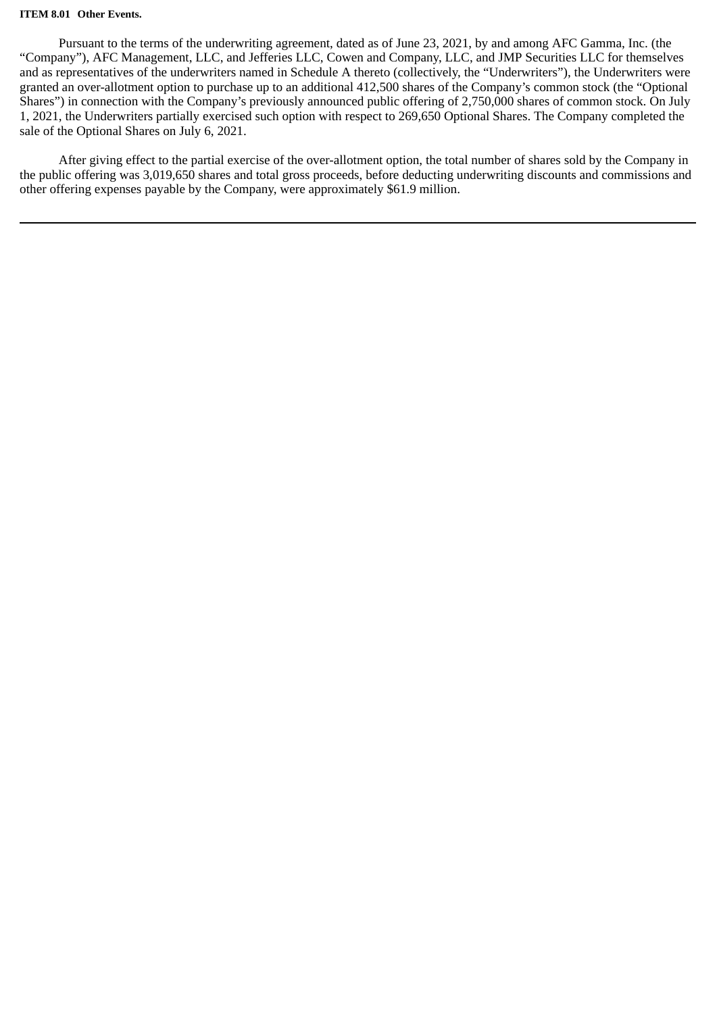#### **ITEM 8.01 Other Events.**

Pursuant to the terms of the underwriting agreement, dated as of June 23, 2021, by and among AFC Gamma, Inc. (the "Company"), AFC Management, LLC, and Jefferies LLC, Cowen and Company, LLC, and JMP Securities LLC for themselves and as representatives of the underwriters named in Schedule A thereto (collectively, the "Underwriters"), the Underwriters were granted an over-allotment option to purchase up to an additional 412,500 shares of the Company's common stock (the "Optional Shares") in connection with the Company's previously announced public offering of 2,750,000 shares of common stock. On July 1, 2021, the Underwriters partially exercised such option with respect to 269,650 Optional Shares. The Company completed the sale of the Optional Shares on July 6, 2021.

After giving effect to the partial exercise of the over-allotment option, the total number of shares sold by the Company in the public offering was 3,019,650 shares and total gross proceeds, before deducting underwriting discounts and commissions and other offering expenses payable by the Company, were approximately \$61.9 million.